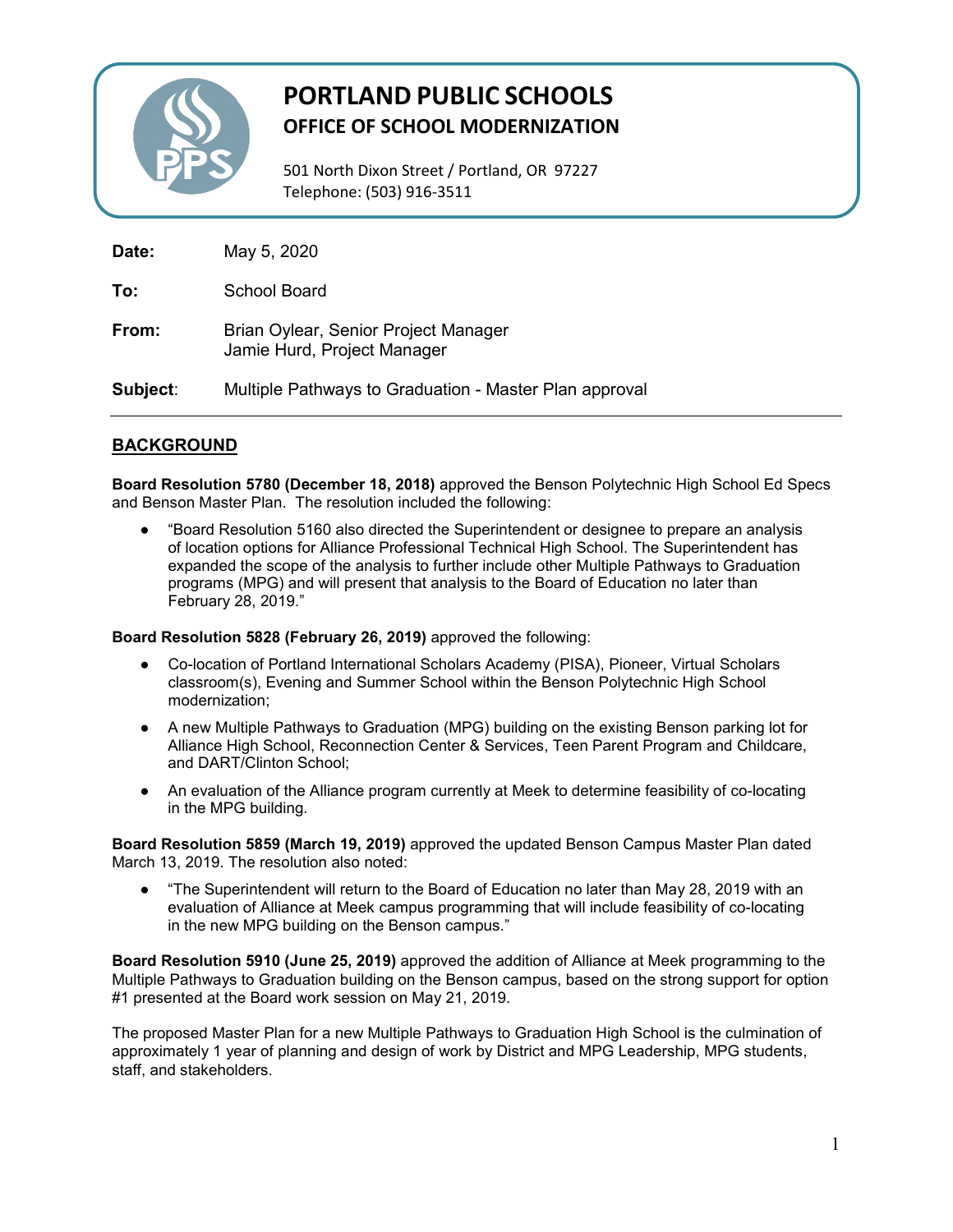

# **PORTLAND PUBLIC SCHOOLS OFFICE OF SCHOOL MODERNIZATION**

501 North Dixon Street / Portland, OR 97227 Telephone: (503) 916-3511

| Date:    | May 5, 2020                                                         |
|----------|---------------------------------------------------------------------|
| To:      | School Board                                                        |
| From:    | Brian Oylear, Senior Project Manager<br>Jamie Hurd, Project Manager |
| Subject: | Multiple Pathways to Graduation - Master Plan approval              |

# **BACKGROUND**

**Board Resolution 5780 (December 18, 2018)** approved the Benson Polytechnic High School Ed Specs and Benson Master Plan. The resolution included the following:

"Board Resolution 5160 also directed the Superintendent or designee to prepare an analysis of location options for Alliance Professional Technical High School. The Superintendent has expanded the scope of the analysis to further include other Multiple Pathways to Graduation programs (MPG) and will present that analysis to the Board of Education no later than February 28, 2019."

**Board Resolution 5828 (February 26, 2019)** approved the following:

- Co-location of Portland International Scholars Academy (PISA), Pioneer, Virtual Scholars classroom(s), Evening and Summer School within the Benson Polytechnic High School modernization;
- A new Multiple Pathways to Graduation (MPG) building on the existing Benson parking lot for Alliance High School, Reconnection Center & Services, Teen Parent Program and Childcare, and DART/Clinton School;
- An evaluation of the Alliance program currently at Meek to determine feasibility of co-locating in the MPG building.

**Board Resolution 5859 (March 19, 2019)** approved the updated Benson Campus Master Plan dated March 13, 2019. The resolution also noted:

"The Superintendent will return to the Board of Education no later than May 28, 2019 with an evaluation of Alliance at Meek campus programming that will include feasibility of co-locating in the new MPG building on the Benson campus."

**Board Resolution 5910 (June 25, 2019)** approved the addition of Alliance at Meek programming to the Multiple Pathways to Graduation building on the Benson campus, based on the strong support for option #1 presented at the Board work session on May 21, 2019.

The proposed Master Plan for a new Multiple Pathways to Graduation High School is the culmination of approximately 1 year of planning and design of work by District and MPG Leadership, MPG students, staff, and stakeholders.